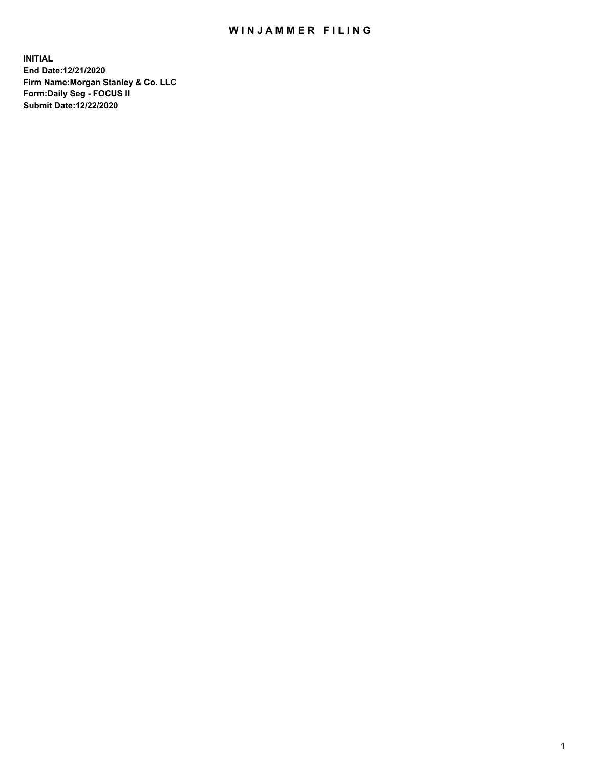## WIN JAMMER FILING

**INITIAL End Date:12/21/2020 Firm Name:Morgan Stanley & Co. LLC Form:Daily Seg - FOCUS II Submit Date:12/22/2020**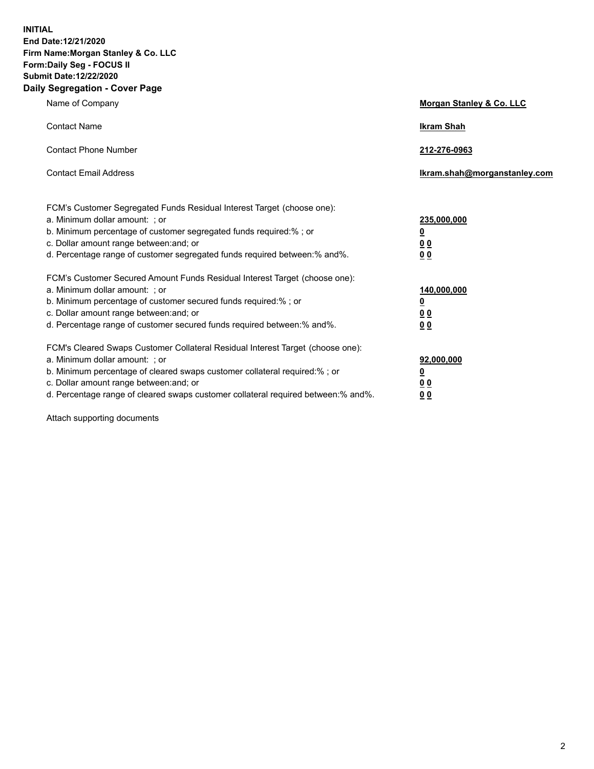**INITIAL End Date:12/21/2020 Firm Name:Morgan Stanley & Co. LLC Form:Daily Seg - FOCUS II Submit Date:12/22/2020 Daily Segregation - Cover Page**

| Name of Company                                                                                                                                                                                                                                                                                                                | Morgan Stanley & Co. LLC                                    |
|--------------------------------------------------------------------------------------------------------------------------------------------------------------------------------------------------------------------------------------------------------------------------------------------------------------------------------|-------------------------------------------------------------|
| <b>Contact Name</b>                                                                                                                                                                                                                                                                                                            | <b>Ikram Shah</b>                                           |
| <b>Contact Phone Number</b>                                                                                                                                                                                                                                                                                                    | 212-276-0963                                                |
| <b>Contact Email Address</b>                                                                                                                                                                                                                                                                                                   | Ikram.shah@morganstanley.com                                |
| FCM's Customer Segregated Funds Residual Interest Target (choose one):<br>a. Minimum dollar amount: ; or<br>b. Minimum percentage of customer segregated funds required:% ; or<br>c. Dollar amount range between: and; or<br>d. Percentage range of customer segregated funds required between:% and%.                         | 235,000,000<br><u>0</u><br>0 Q<br>0 <sub>0</sub>            |
| FCM's Customer Secured Amount Funds Residual Interest Target (choose one):<br>a. Minimum dollar amount: : or<br>b. Minimum percentage of customer secured funds required:%; or<br>c. Dollar amount range between: and; or<br>d. Percentage range of customer secured funds required between:% and%.                            | 140,000,000<br><u>0</u><br>0 <sub>0</sub><br>0 <sub>0</sub> |
| FCM's Cleared Swaps Customer Collateral Residual Interest Target (choose one):<br>a. Minimum dollar amount: ; or<br>b. Minimum percentage of cleared swaps customer collateral required:% ; or<br>c. Dollar amount range between: and; or<br>d. Percentage range of cleared swaps customer collateral required between:% and%. | 92,000,000<br><u>0</u><br>0 Q<br>0 <sub>0</sub>             |

Attach supporting documents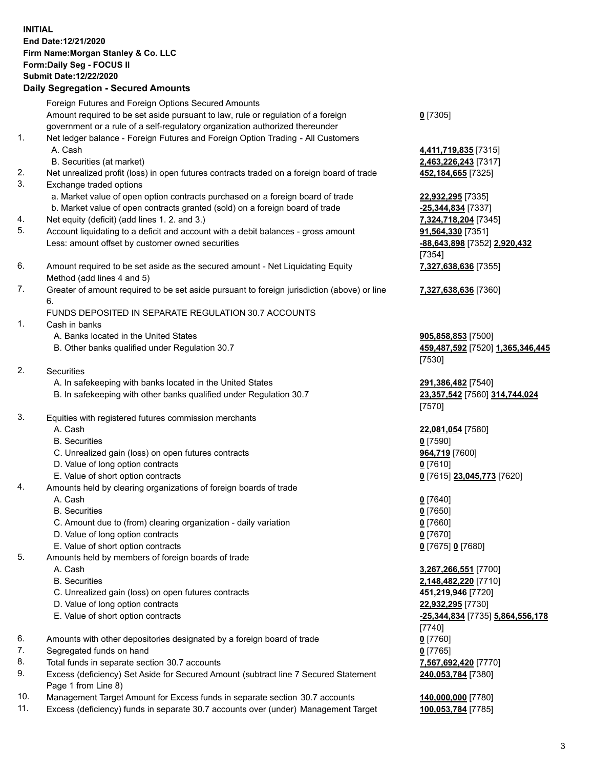## **INITIAL End Date:12/21/2020 Firm Name:Morgan Stanley & Co. LLC Form:Daily Seg - FOCUS II Submit Date:12/22/2020**

## **Daily Segregation - Secured Amounts**

Foreign Futures and Foreign Options Secured Amounts Amount required to be set aside pursuant to law, rule or regulation of a foreign government or a rule of a self-regulatory organization authorized thereunder 1. Net ledger balance - Foreign Futures and Foreign Option Trading - All Customers A. Cash **4,411,719,835** [7315] B. Securities (at market) **2,463,226,243** [7317] 2. Net unrealized profit (loss) in open futures contracts traded on a foreign board of trade **452,184,665** [7325] 3. Exchange traded options a. Market value of open option contracts purchased on a foreign board of trade **22,932,295** [7335] b. Market value of open contracts granted (sold) on a foreign board of trade **-25,344,834** [7337] 4. Net equity (deficit) (add lines 1. 2. and 3.) **7,324,718,204** [7345] 5. Account liquidating to a deficit and account with a debit balances - gross amount **91,564,330** [7351] Less: amount offset by customer owned securities **-88,643,898** [7352] **2,920,432** 6. Amount required to be set aside as the secured amount - Net Liquidating Equity Method (add lines 4 and 5) 7. Greater of amount required to be set aside pursuant to foreign jurisdiction (above) or line 6. FUNDS DEPOSITED IN SEPARATE REGULATION 30.7 ACCOUNTS 1. Cash in banks A. Banks located in the United States **905,858,853** [7500] B. Other banks qualified under Regulation 30.7 **459,487,592** [7520] **1,365,346,445** 2. Securities A. In safekeeping with banks located in the United States **291,386,482** [7540] B. In safekeeping with other banks qualified under Regulation 30.7 **23,357,542** [7560] **314,744,024** 3. Equities with registered futures commission merchants A. Cash **22,081,054** [7580] B. Securities **0** [7590] C. Unrealized gain (loss) on open futures contracts **964,719** [7600] D. Value of long option contracts **0** [7610] E. Value of short option contracts **0** [7615] **23,045,773** [7620] 4. Amounts held by clearing organizations of foreign boards of trade

B. Securities **0** [7650]

- C. Amount due to (from) clearing organization daily variation **0** [7660]
- D. Value of long option contracts **0** [7670]
- E. Value of short option contracts **0** [7675] **0** [7680]
- 5. Amounts held by members of foreign boards of trade
	-
	-
	- C. Unrealized gain (loss) on open futures contracts **451,219,946** [7720]
	- D. Value of long option contracts **22,932,295** [7730]
	-
- 6. Amounts with other depositories designated by a foreign board of trade **0** [7760]
- 7. Segregated funds on hand **0** [7765]
- 8. Total funds in separate section 30.7 accounts **7,567,692,420** [7770]
- 9. Excess (deficiency) Set Aside for Secured Amount (subtract line 7 Secured Statement Page 1 from Line 8)
- 10. Management Target Amount for Excess funds in separate section 30.7 accounts **140,000,000** [7780]
- 11. Excess (deficiency) funds in separate 30.7 accounts over (under) Management Target **100,053,784** [7785]

**0** [7305]

[7354] **7,327,638,636** [7355]

**7,327,638,636** [7360]

[7530]

[7570]

A. Cash **0** [7640]

 A. Cash **3,267,266,551** [7700] B. Securities **2,148,482,220** [7710] E. Value of short option contracts **-25,344,834** [7735] **5,864,556,178** [7740] **240,053,784** [7380]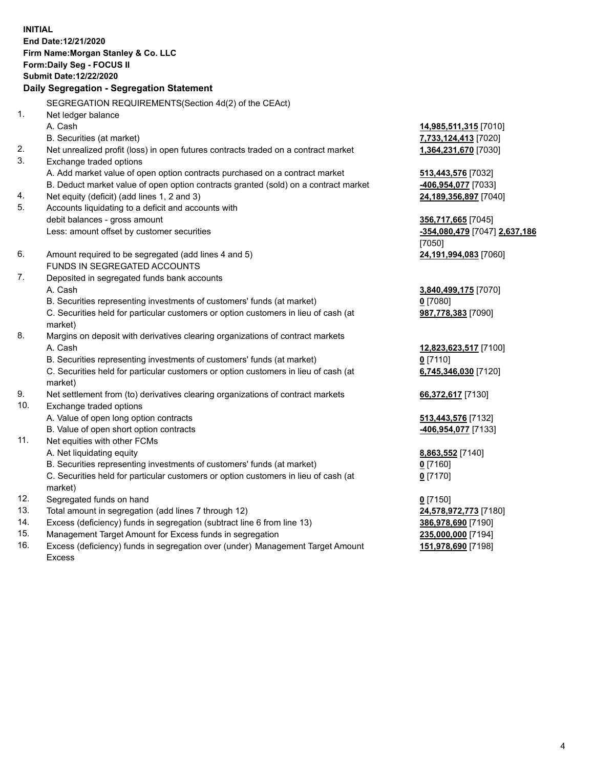**INITIAL End Date:12/21/2020 Firm Name:Morgan Stanley & Co. LLC Form:Daily Seg - FOCUS II Submit Date:12/22/2020 Daily Segregation - Segregation Statement** SEGREGATION REQUIREMENTS(Section 4d(2) of the CEAct) 1. Net ledger balance A. Cash **14,985,511,315** [7010] B. Securities (at market) **7,733,124,413** [7020] 2. Net unrealized profit (loss) in open futures contracts traded on a contract market **1,364,231,670** [7030] 3. Exchange traded options A. Add market value of open option contracts purchased on a contract market **513,443,576** [7032] B. Deduct market value of open option contracts granted (sold) on a contract market **-406,954,077** [7033] 4. Net equity (deficit) (add lines 1, 2 and 3) **24,189,356,897** [7040] 5. Accounts liquidating to a deficit and accounts with debit balances - gross amount **356,717,665** [7045] Less: amount offset by customer securities **-354,080,479** [7047] **2,637,186** [7050] 6. Amount required to be segregated (add lines 4 and 5) **24,191,994,083** [7060] FUNDS IN SEGREGATED ACCOUNTS 7. Deposited in segregated funds bank accounts A. Cash **3,840,499,175** [7070] B. Securities representing investments of customers' funds (at market) **0** [7080] C. Securities held for particular customers or option customers in lieu of cash (at market) **987,778,383** [7090] 8. Margins on deposit with derivatives clearing organizations of contract markets A. Cash **12,823,623,517** [7100] B. Securities representing investments of customers' funds (at market) **0** [7110] C. Securities held for particular customers or option customers in lieu of cash (at market) **6,745,346,030** [7120] 9. Net settlement from (to) derivatives clearing organizations of contract markets **66,372,617** [7130] 10. Exchange traded options A. Value of open long option contracts **513,443,576** [7132] B. Value of open short option contracts **-406,954,077** [7133] 11. Net equities with other FCMs A. Net liquidating equity **8,863,552** [7140] B. Securities representing investments of customers' funds (at market) **0** [7160] C. Securities held for particular customers or option customers in lieu of cash (at market) **0** [7170] 12. Segregated funds on hand **0** [7150] 13. Total amount in segregation (add lines 7 through 12) **24,578,972,773** [7180] 14. Excess (deficiency) funds in segregation (subtract line 6 from line 13) **386,978,690** [7190] 15. Management Target Amount for Excess funds in segregation **235,000,000** [7194]

16. Excess (deficiency) funds in segregation over (under) Management Target Amount Excess

**151,978,690** [7198]